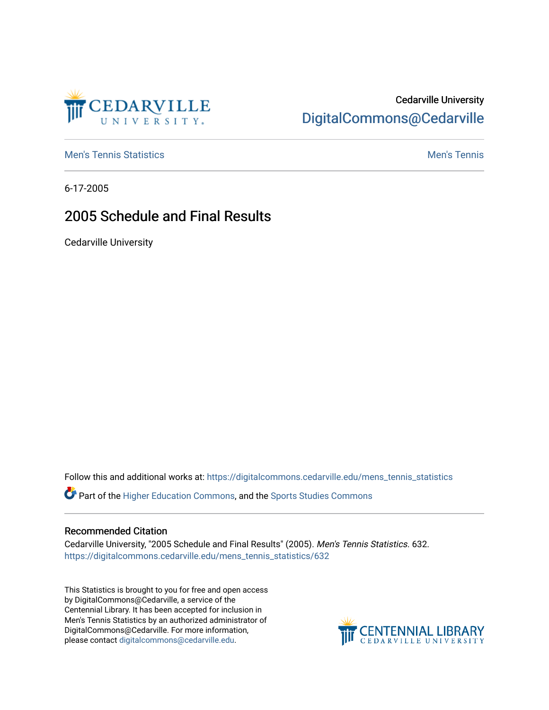

## Cedarville University [DigitalCommons@Cedarville](https://digitalcommons.cedarville.edu/)

**[Men's Tennis Statistics](https://digitalcommons.cedarville.edu/mens_tennis_statistics) Men's Tennis** Men's Tennis

6-17-2005

## 2005 Schedule and Final Results

Cedarville University

Follow this and additional works at: [https://digitalcommons.cedarville.edu/mens\\_tennis\\_statistics](https://digitalcommons.cedarville.edu/mens_tennis_statistics?utm_source=digitalcommons.cedarville.edu%2Fmens_tennis_statistics%2F632&utm_medium=PDF&utm_campaign=PDFCoverPages)

Part of the [Higher Education Commons,](http://network.bepress.com/hgg/discipline/1245?utm_source=digitalcommons.cedarville.edu%2Fmens_tennis_statistics%2F632&utm_medium=PDF&utm_campaign=PDFCoverPages) and the [Sports Studies Commons](http://network.bepress.com/hgg/discipline/1198?utm_source=digitalcommons.cedarville.edu%2Fmens_tennis_statistics%2F632&utm_medium=PDF&utm_campaign=PDFCoverPages) 

### Recommended Citation

Cedarville University, "2005 Schedule and Final Results" (2005). Men's Tennis Statistics. 632. [https://digitalcommons.cedarville.edu/mens\\_tennis\\_statistics/632](https://digitalcommons.cedarville.edu/mens_tennis_statistics/632?utm_source=digitalcommons.cedarville.edu%2Fmens_tennis_statistics%2F632&utm_medium=PDF&utm_campaign=PDFCoverPages) 

This Statistics is brought to you for free and open access by DigitalCommons@Cedarville, a service of the Centennial Library. It has been accepted for inclusion in Men's Tennis Statistics by an authorized administrator of DigitalCommons@Cedarville. For more information, please contact [digitalcommons@cedarville.edu](mailto:digitalcommons@cedarville.edu).